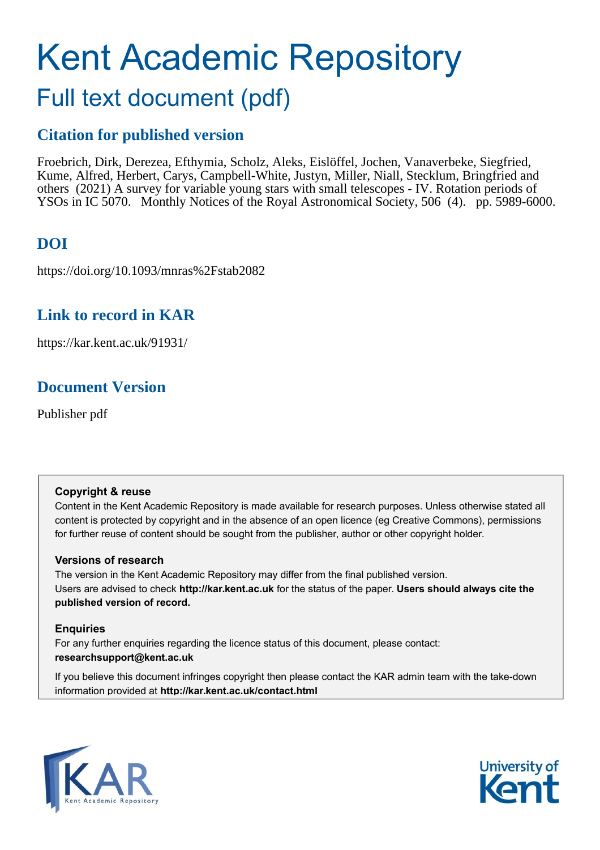# Kent Academic Repository

## Full text document (pdf)

## **Citation for published version**

Froebrich, Dirk, Derezea, Efthymia, Scholz, Aleks, Eislöffel, Jochen, Vanaverbeke, Siegfried, Kume, Alfred, Herbert, Carys, Campbell-White, Justyn, Miller, Niall, Stecklum, Bringfried and others (2021) A survey for variable young stars with small telescopes - IV. Rotation periods of YSOs in IC 5070. Monthly Notices of the Royal Astronomical Society, 506 (4). pp. 5989-6000.

## **DOI**

https://doi.org/10.1093/mnras%2Fstab2082

## **Link to record in KAR**

https://kar.kent.ac.uk/91931/

## **Document Version**

Publisher pdf

#### **Copyright & reuse**

Content in the Kent Academic Repository is made available for research purposes. Unless otherwise stated all content is protected by copyright and in the absence of an open licence (eg Creative Commons), permissions for further reuse of content should be sought from the publisher, author or other copyright holder.

#### **Versions of research**

The version in the Kent Academic Repository may differ from the final published version. Users are advised to check **http://kar.kent.ac.uk** for the status of the paper. **Users should always cite the published version of record.**

### **Enquiries**

For any further enquiries regarding the licence status of this document, please contact: **researchsupport@kent.ac.uk**

If you believe this document infringes copyright then please contact the KAR admin team with the take-down information provided at **http://kar.kent.ac.uk/contact.html**



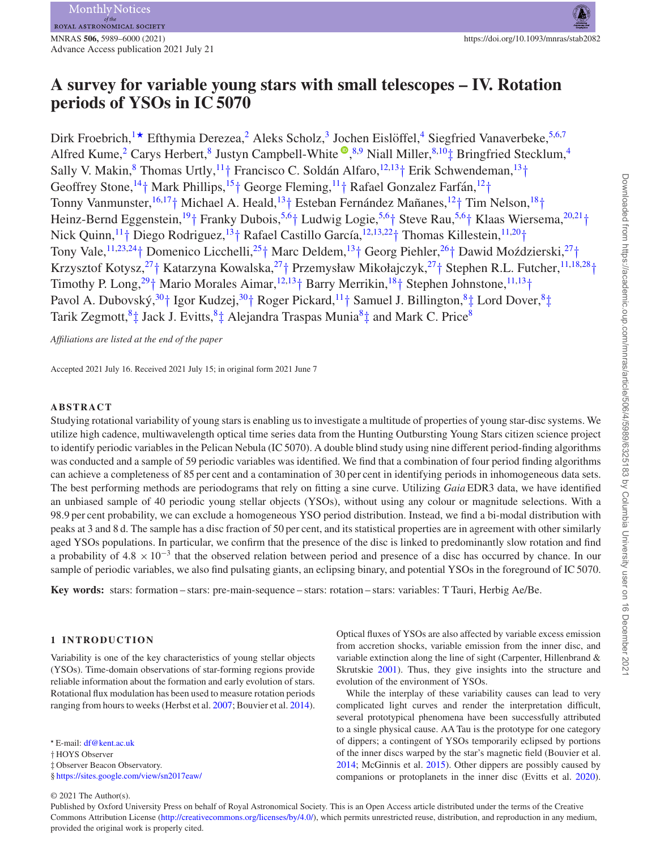## **A survey for variable young stars with small telescopes – IV. Rotation periods of YSOs in IC 5070**

Dirk Froebrich,<sup>1★</sup> Efthymia Derezea,<sup>2</sup> Aleks Scholz,<sup>3</sup> Jochen Eislöffel,<sup>4</sup> Siegfried Vanaverbeke,<sup>5,6,7</sup> Alfred Kume[,](http://orcid.org/0000-0002-3913-3746)<sup>2</sup> Carys Herbert,<sup>8</sup> Justyn Campbell-White <sup>(1, 8, 9</sup> Niall Miller, <sup>8, 10</sup>‡ Bringfried Stecklum,<sup>4</sup> Sally V. Makin,<sup>8</sup> Thomas Urtly,  $11 + 1$  Francisco C. Soldán Alfaro,  $12,13 + 12$  Erik Schwendeman,  $13 + 12$ Geoffrey Stone,<sup>14</sup>† Mark Phillips,<sup>15</sup>† George Fleming,<sup>11</sup>† Rafael Gonzalez Farfán,<sup>12</sup>† Tonny Vanmunster,<sup>16,17</sup>† Michael A. Heald,<sup>13</sup>† Esteban Fernández Mañanes,<sup>12</sup>† Tim Nelson,<sup>18</sup>† Heinz-Bernd Eggenstein,<sup>19</sup>† Franky Dubois,<sup>5,6</sup>† Ludwig Logie,<sup>5,6</sup>† Steve Rau,<sup>5,6</sup>† Klaas Wiersema,<sup>20,21</sup>† Nick Quinn,<sup>11</sup>† Diego Rodriguez, <sup>13</sup>† Rafael Castillo García, <sup>12,13,22</sup>† Thomas Killestein, <sup>11,20</sup>† Tony Vale,<sup>11,23,24</sup>† Domenico Licchelli,<sup>25</sup>† Marc Deldem,<sup>13</sup>† Georg Piehler,<sup>26</sup>† Dawid Moździerski,<sup>27</sup>† Krzysztof Kotysz,<sup>27</sup>† Katarzyna Kowalska,<sup>27</sup>† Przemysław Mikołajczyk,<sup>27</sup>† Stephen R.L. Futcher,<sup>11,18,28</sup>† Timothy P. Long,<sup>29</sup>† Mario Morales Aimar,<sup>12,13</sup>† Barry Merrikin,<sup>18</sup>† Stephen Johnstone,<sup>11,13</sup>† Pavol A. Dubovský,<sup>30</sup>† Igor Kudzej,<sup>30</sup>† Roger Pickard,<sup>11</sup>† Samuel J. Billington,<sup>8</sup>‡ Lord Dover,<sup>8</sup>‡ Tarik Zegmott,  $8\pm$  Jack J. Evitts,  $8\pm$  Alejandra Traspas Munia $8\pm$  and Mark C. Price  $8\pm$ 

*Affiliations are listed at the end of the paper*

Accepted 2021 July 16. Received 2021 July 15; in original form 2021 June 7

#### **ABSTRACT**

Studying rotational variability of young starsis enabling usto investigate a multitude of properties of young star-disc systems. We utilize high cadence, multiwavelength optical time series data from the Hunting Outbursting Young Stars citizen science project to identify periodic variablesin the Pelican Nebula (IC 5070). A double blind study using nine different period-finding algorithms was conducted and a sample of 59 periodic variables was identified. We find that a combination of four period finding algorithms can achieve a completeness of 85 per cent and a contamination of 30 per cent in identifying periods in inhomogeneous data sets. The best performing methods are periodograms that rely on fitting a sine curve. Utilizing *Gaia* EDR3 data, we have identified an unbiased sample of 40 periodic young stellar objects (YSOs), without using any colour or magnitude selections. With a 98.9 per cent probability, we can exclude a homogeneous YSO period distribution. Instead, we find a bi-modal distribution with peaks at 3 and 8 d. The sample has a disc fraction of 50 per cent, and its statistical properties are in agreement with other similarly aged YSOs populations. In particular, we confirm that the presence of the disc is linked to predominantly slow rotation and find a probability of  $4.8 \times 10^{-3}$  that the observed relation between period and presence of a disc has occurred by chance. In our sample of periodic variables, we also find pulsating giants, an eclipsing binary, and potential YSOs in the foreground of IC 5070.

**Key words:** stars: formation – stars: pre-main-sequence – stars: rotation – stars: variables: T Tauri, Herbig Ae/Be.

#### **1 INTRODUCTION**

Variability is one of the key characteristics of young stellar objects (YSOs). Time-domain observations of star-forming regions provide reliable information about the formation and early evolution of stars. Rotational flux modulation has been used to measure rotation periods ranging from hours to weeks (Herbst et al. 2007; Bouvier et al. 2014). Optical fluxes of YSOs are also affected by variable excess emission from accretion shocks, variable emission from the inner disc, and variable extinction along the line of sight (Carpenter, Hillenbrand & Skrutskie 2001). Thus, they give insights into the structure and evolution of the environment of YSOs.

While the interplay of these variability causes can lead to very complicated light curves and render the interpretation difficult, several prototypical phenomena have been successfully attributed to a single physical cause. AA Tau is the prototype for one category of dippers; a contingent of YSOs temporarily eclipsed by portions of the inner discs warped by the star's magnetic field (Bouvier et al. 2014; McGinnis et al. 2015). Other dippers are possibly caused by companions or protoplanets in the inner disc (Evitts et al. 2020).

Published by Oxford University Press on behalf of Royal Astronomical Society. This is an Open Access article distributed under the terms of the Creative Commons Attribution License [\(http://creativecommons.org/licenses/by/4.0/\)](http://creativecommons.org/licenses/by/4.0/), which permits unrestricted reuse, distribution, and reproduction in any medium, provided the original work is properly cited.

*<sup>-</sup>* E-mail: [df@kent.ac.uk](mailto:df@kent.ac.uk)

<sup>†</sup> HOYS Observer

<sup>‡</sup> Observer Beacon Observatory.

<sup>§</sup> <https://sites.google.com/view/sn2017eaw/>

<sup>© 2021</sup> The Author(s).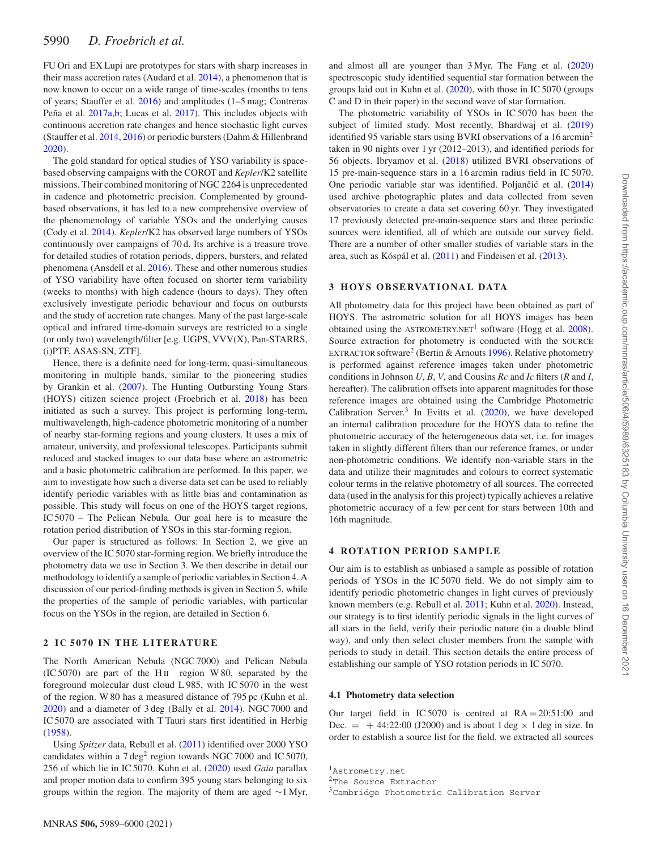FU Ori and EX Lupi are prototypes for stars with sharp increases in their mass accretion rates (Audard et al. 2014), a phenomenon that is now known to occur on a wide range of time-scales (months to tens of years; Stauffer et al. 2016) and amplitudes (1–5 mag; Contreras Peña et al. 2017a,b; Lucas et al. 2017). This includes objects with continuous accretion rate changes and hence stochastic light curves (Stauffer et al. 2014, 2016) or periodic bursters(Dahm & Hillenbrand 2020).

The gold standard for optical studies of YSO variability is spacebased observing campaigns with the COROT and *Kepler*/K2 satellite missions. Their combined monitoring of NGC 2264 is unprecedented in cadence and photometric precision. Complemented by groundbased observations, it has led to a new comprehensive overview of the phenomenology of variable YSOs and the underlying causes (Cody et al. 2014). *Kepler*/K2 has observed large numbers of YSOs continuously over campaigns of 70 d. Its archive is a treasure trove for detailed studies of rotation periods, dippers, bursters, and related phenomena (Ansdell et al. 2016). These and other numerous studies of YSO variability have often focused on shorter term variability (weeks to months) with high cadence (hours to days). They often exclusively investigate periodic behaviour and focus on outbursts and the study of accretion rate changes. Many of the past large-scale optical and infrared time-domain surveys are restricted to a single (or only two) wavelength/filter [e.g. UGPS, VVV(X), Pan-STARRS, (i)PTF, ASAS-SN, ZTF].

Hence, there is a definite need for long-term, quasi-simultaneous monitoring in multiple bands, similar to the pioneering studies by Grankin et al. (2007). The Hunting Outbursting Young Stars (HOYS) citizen science project (Froebrich et al. 2018) has been initiated as such a survey. This project is performing long-term, multiwavelength, high-cadence photometric monitoring of a number of nearby star-forming regions and young clusters. It uses a mix of amateur, university, and professional telescopes. Participants submit reduced and stacked images to our data base where an astrometric and a basic photometric calibration are performed. In this paper, we aim to investigate how such a diverse data set can be used to reliably identify periodic variables with as little bias and contamination as possible. This study will focus on one of the HOYS target regions, IC 5070 – The Pelican Nebula. Our goal here is to measure the rotation period distribution of YSOs in this star-forming region.

Our paper is structured as follows: In Section 2, we give an overview of the IC 5070 star-forming region. We briefly introduce the photometry data we use in Section 3. We then describe in detail our methodology to identify a sample of periodic variables in Section 4. A discussion of our period-finding methods is given in Section 5, while the properties of the sample of periodic variables, with particular focus on the YSOs in the region, are detailed in Section 6.

#### **2 I C 5070 I N THE LITERATURE**

The North American Nebula (NGC 7000) and Pelican Nebula  $(IC 5070)$  are part of the H<sub>II</sub> region W 80, separated by the foreground molecular dust cloud L 985, with IC 5070 in the west of the region. W 80 has a measured distance of 795 pc (Kuhn et al. 2020) and a diameter of 3 deg (Bally et al. 2014). NGC 7000 and IC 5070 are associated with T Tauri stars first identified in Herbig (1958).

Using *Spitzer* data, Rebull et al. (2011) identified over 2000 YSO candidates within a  $7 \text{ deg}^2$  region towards NGC 7000 and IC 5070, 256 of which lie in IC 5070. Kuhn et al. (2020) used *Gaia* parallax and proper motion data to confirm 395 young stars belonging to six groups within the region. The majority of them are aged  $\sim$ 1 Myr, and almost all are younger than 3 Myr. The Fang et al. (2020) spectroscopic study identified sequential star formation between the groups laid out in Kuhn et al. (2020), with those in IC 5070 (groups C and D in their paper) in the second wave of star formation.

The photometric variability of YSOs in IC 5070 has been the subject of limited study. Most recently, Bhardwaj et al. (2019) identified 95 variable stars using BVRI observations of a 16 arcmin<sup>2</sup> taken in 90 nights over 1 yr (2012–2013), and identified periods for 56 objects. Ibryamov et al. (2018) utilized BVRI observations of 15 pre-main-sequence stars in a 16 arcmin radius field in IC 5070. One periodic variable star was identified. Poljančić et al. (2014) used archive photographic plates and data collected from seven observatories to create a data set covering 60 yr. They investigated 17 previously detected pre-main-sequence stars and three periodic sources were identified, all of which are outside our survey field. There are a number of other smaller studies of variable stars in the area, such as Kóspál et al. (2011) and Findeisen et al. (2013).

#### **3 HOYS OB SE RVAT IO NAL DATA**

All photometry data for this project have been obtained as part of HOYS. The astrometric solution for all HOYS images has been obtained using the ASTROMETRY.NET<sup>1</sup> software (Hogg et al.  $2008$ ). Source extraction for photometry is conducted with the SOURCE EXTRACTOR software<sup>2</sup> (Bertin & Arnouts 1996). Relative photometry is performed against reference images taken under photometric conditions in Johnson *U*, *B*, *V*, and Cousins *Rc* and *Ic* filters (*R* and *I*, hereafter). The calibration offsets into apparent magnitudes for those reference images are obtained using the Cambridge Photometric Calibration Server.<sup>3</sup> In Evitts et al.  $(2020)$ , we have developed an internal calibration procedure for the HOYS data to refine the photometric accuracy of the heterogeneous data set, i.e. for images taken in slightly different filters than our reference frames, or under non-photometric conditions. We identify non-variable stars in the data and utilize their magnitudes and colours to correct systematic colour terms in the relative photometry of all sources. The corrected data (used in the analysis for this project) typically achieves a relative photometric accuracy of a few per cent for stars between 10th and 16th magnitude.

#### **4 ROTATION PERIOD SAMPLE**

Our aim is to establish as unbiased a sample as possible of rotation periods of YSOs in the IC 5070 field. We do not simply aim to identify periodic photometric changes in light curves of previously known members (e.g. Rebull et al. 2011; Kuhn et al. 2020). Instead, our strategy is to first identify periodic signals in the light curves of all stars in the field, verify their periodic nature (in a double blind way), and only then select cluster members from the sample with periods to study in detail. This section details the entire process of establishing our sample of YSO rotation periods in IC 5070.

#### **4.1 Photometry data selection**

Our target field in IC 5070 is centred at  $RA = 20:51:00$  and Dec.  $=$  +44:22:00 (J2000) and is about 1 deg  $\times$  1 deg in size. In order to establish a source list for the field, we extracted all sources

<sup>1</sup>Astrometry.net

<sup>&</sup>lt;sup>2</sup>The Source Extractor

<sup>3</sup>Cambridge Photometric Calibration Server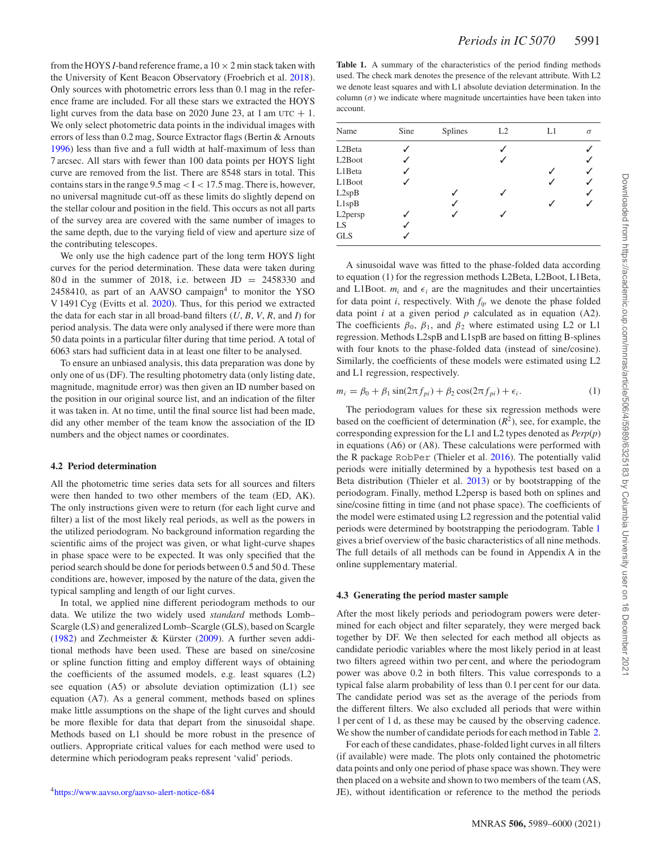from the HOYS *I*-band reference frame, a  $10 \times 2$  min stack taken with the University of Kent Beacon Observatory (Froebrich et al. 2018). Only sources with photometric errors less than 0.1 mag in the reference frame are included. For all these stars we extracted the HOYS light curves from the data base on 2020 June 23, at 1 am UTC  $+$  1. We only select photometric data points in the individual images with errors of less than 0.2 mag, Source Extractor flags (Bertin & Arnouts 1996) less than five and a full width at half-maximum of less than 7 arcsec. All stars with fewer than 100 data points per HOYS light curve are removed from the list. There are 8548 stars in total. This containsstarsin the range 9.5 mag *<* I *<* 17.5 mag. There is, however, no universal magnitude cut-off as these limits do slightly depend on the stellar colour and position in the field. This occurs as not all parts of the survey area are covered with the same number of images to the same depth, due to the varying field of view and aperture size of the contributing telescopes.

We only use the high cadence part of the long term HOYS light curves for the period determination. These data were taken during 80 d in the summer of 2018, i.e. between  $JD = 2458330$  and  $2458410$ , as part of an AAVSO campaign<sup>4</sup> to monitor the YSO V 1491 Cyg (Evitts et al. 2020). Thus, for this period we extracted the data for each star in all broad-band filters (*U*, *B*, *V*, *R*, and *I*) for period analysis. The data were only analysed if there were more than 50 data points in a particular filter during that time period. A total of 6063 stars had sufficient data in at least one filter to be analysed.

To ensure an unbiased analysis, this data preparation was done by only one of us (DF). The resulting photometry data (only listing date, magnitude, magnitude error) was then given an ID number based on the position in our original source list, and an indication of the filter it was taken in. At no time, until the final source list had been made, did any other member of the team know the association of the ID numbers and the object names or coordinates.

#### **4.2 Period determination**

All the photometric time series data sets for all sources and filters were then handed to two other members of the team (ED, AK). The only instructions given were to return (for each light curve and filter) a list of the most likely real periods, as well as the powers in the utilized periodogram. No background information regarding the scientific aims of the project was given, or what light-curve shapes in phase space were to be expected. It was only specified that the period search should be done for periods between 0.5 and 50 d. These conditions are, however, imposed by the nature of the data, given the typical sampling and length of our light curves.

In total, we applied nine different periodogram methods to our data. We utilize the two widely used *standard* methods Lomb– Scargle (LS) and generalized Lomb–Scargle (GLS), based on Scargle (1982) and Zechmeister & Kürster  $(2009)$ . A further seven additional methods have been used. These are based on sine/cosine or spline function fitting and employ different ways of obtaining the coefficients of the assumed models, e.g. least squares (L2) see equation (A5) or absolute deviation optimization (L1) see equation (A7). As a general comment, methods based on splines make little assumptions on the shape of the light curves and should be more flexible for data that depart from the sinusoidal shape. Methods based on L1 should be more robust in the presence of outliers. Appropriate critical values for each method were used to determine which periodogram peaks represent 'valid' periods.

**Table 1.** A summary of the characteristics of the period finding methods used. The check mark denotes the presence of the relevant attribute. With L2 we denote least squares and with L1 absolute deviation determination. In the column  $(\sigma)$  we indicate where magnitude uncertainties have been taken into account.

| Name                | Sine | <b>Splines</b> | L2 | L1 | $\sigma$ |
|---------------------|------|----------------|----|----|----------|
| L <sub>2</sub> Beta |      |                | ✓  |    |          |
| L <sub>2</sub> Boot |      |                |    |    |          |
| L1Beta              |      |                |    |    |          |
| L1Boot              |      |                |    |    |          |
| L2spB               |      | ✓              |    |    | ✓        |
| L1spB               |      |                |    |    |          |
| L2persp             |      |                |    |    |          |
| LS.                 |      |                |    |    |          |
| <b>GLS</b>          |      |                |    |    |          |

A sinusoidal wave was fitted to the phase-folded data according to equation (1) for the regression methods L2Beta, L2Boot, L1Beta, and L1Boot.  $m_i$  and  $\epsilon_i$  are the magnitudes and their uncertainties for data point  $i$ , respectively. With  $f_{ip}$  we denote the phase folded data point *i* at a given period *p* calculated as in equation (A2). The coefficients  $\beta_0$ ,  $\beta_1$ , and  $\beta_2$  where estimated using L2 or L1 regression. Methods L2spB and L1spB are based on fitting B-splines with four knots to the phase-folded data (instead of sine/cosine). Similarly, the coefficients of these models were estimated using L2 and L1 regression, respectively.

$$
m_i = \beta_0 + \beta_1 \sin(2\pi f_{pi}) + \beta_2 \cos(2\pi f_{pi}) + \epsilon_i.
$$
 (1)

The periodogram values for these six regression methods were based on the coefficient of determination  $(R^2)$ , see, for example, the corresponding expression for the L1 and L2 types denoted as *Perp*(*p*) in equations (A6) or (A8). These calculations were performed with the R package RobPer (Thieler et al. 2016). The potentially valid periods were initially determined by a hypothesis test based on a Beta distribution (Thieler et al. 2013) or by bootstrapping of the periodogram. Finally, method L2persp is based both on splines and sine/cosine fitting in time (and not phase space). The coefficients of the model were estimated using L2 regression and the potential valid periods were determined by bootstrapping the periodogram. Table 1 gives a brief overview of the basic characteristics of all nine methods. The full details of all methods can be found in Appendix A in the online supplementary material.

#### **4.3 Generating the period master sample**

After the most likely periods and periodogram powers were determined for each object and filter separately, they were merged back together by DF. We then selected for each method all objects as candidate periodic variables where the most likely period in at least two filters agreed within two per cent, and where the periodogram power was above 0.2 in both filters. This value corresponds to a typical false alarm probability of less than 0.1 per cent for our data. The candidate period was set as the average of the periods from the different filters. We also excluded all periods that were within 1 per cent of 1 d, as these may be caused by the observing cadence. We show the number of candidate periods for each method in Table 2.

For each of these candidates, phase-folded light curves in all filters (if available) were made. The plots only contained the photometric data points and only one period of phase space was shown. They were then placed on a website and shown to two members of the team (AS, JE), without identification or reference to the method the periods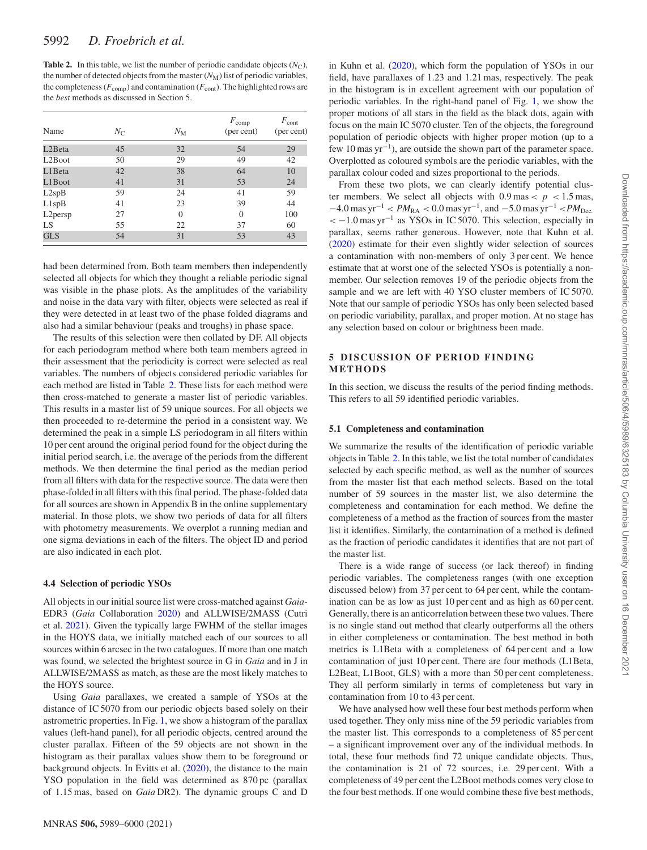**Table 2.** In this table, we list the number of periodic candidate objects  $(N_C)$ , the number of detected objects from the master  $(N_M)$  list of periodic variables, the completeness ( $F_{\text{comp}}$ ) and contamination ( $F_{\text{cont}}$ ). The highlighted rows are the *best* methods as discussed in Section 5.

|                      |             |             | $F_{\text{comp}}$ | $F_{\rm cont}$ |
|----------------------|-------------|-------------|-------------------|----------------|
| Name                 | $N_{\rm C}$ | $N_{\rm M}$ | (per cent)        | (per cent)     |
| L <sub>2</sub> Beta  | 45          | 32          | 54                | 29             |
| L <sub>2</sub> Boot  | 50          | 29          | 49                | 42             |
| L1Beta               | 42          | 38          | 64                | 10             |
| L1Boot               | 41          | 31          | 53                | 24             |
| L2spB                | 59          | 24          | 41                | 59             |
| L1spB                | 41          | 23          | 39                | 44             |
| L <sub>2</sub> persp | 27          | $\Omega$    | $\Omega$          | 100            |
| <b>LS</b>            | 55          | 22          | 37                | 60             |
| <b>GLS</b>           | 54          | 31          | 53                | 43             |

had been determined from. Both team members then independently selected all objects for which they thought a reliable periodic signal was visible in the phase plots. As the amplitudes of the variability and noise in the data vary with filter, objects were selected as real if they were detected in at least two of the phase folded diagrams and also had a similar behaviour (peaks and troughs) in phase space.

The results of this selection were then collated by DF. All objects for each periodogram method where both team members agreed in their assessment that the periodicity is correct were selected as real variables. The numbers of objects considered periodic variables for each method are listed in Table 2. These lists for each method were then cross-matched to generate a master list of periodic variables. This results in a master list of 59 unique sources. For all objects we then proceeded to re-determine the period in a consistent way. We determined the peak in a simple LS periodogram in all filters within 10 per cent around the original period found for the object during the initial period search, i.e. the average of the periods from the different methods. We then determine the final period as the median period from all filters with data for the respective source. The data were then phase-folded in all filters with this final period. The phase-folded data for all sources are shown in Appendix B in the online supplementary material. In those plots, we show two periods of data for all filters with photometry measurements. We overplot a running median and one sigma deviations in each of the filters. The object ID and period are also indicated in each plot.

#### **4.4 Selection of periodic YSOs**

All objects in our initial source list were cross-matched against *Gaia*-EDR3 (*Gaia* Collaboration 2020) and ALLWISE/2MASS (Cutri et al. 2021). Given the typically large FWHM of the stellar images in the HOYS data, we initially matched each of our sources to all sources within 6 arcsec in the two catalogues. If more than one match was found, we selected the brightest source in G in *Gaia* and in J in ALLWISE/2MASS as match, as these are the most likely matches to the HOYS source.

Using *Gaia* parallaxes, we created a sample of YSOs at the distance of IC 5070 from our periodic objects based solely on their astrometric properties. In Fig. 1, we show a histogram of the parallax values (left-hand panel), for all periodic objects, centred around the cluster parallax. Fifteen of the 59 objects are not shown in the histogram as their parallax values show them to be foreground or background objects. In Evitts et al. (2020), the distance to the main YSO population in the field was determined as 870 pc (parallax of 1.15 mas, based on *Gaia* DR2). The dynamic groups C and D in Kuhn et al. (2020), which form the population of YSOs in our field, have parallaxes of 1.23 and 1.21 mas, respectively. The peak in the histogram is in excellent agreement with our population of periodic variables. In the right-hand panel of Fig. 1, we show the proper motions of all stars in the field as the black dots, again with focus on the main IC 5070 cluster. Ten of the objects, the foreground population of periodic objects with higher proper motion (up to a few 10 mas  $yr^{-1}$ ), are outside the shown part of the parameter space. Overplotted as coloured symbols are the periodic variables, with the parallax colour coded and sizes proportional to the periods.

From these two plots, we can clearly identify potential cluster members. We select all objects with  $0.9 \text{ mas} < p < 1.5 \text{ mas}$ ,  $-4.0$  mas yr<sup>-1</sup> <  $PM_{\text{RA}}$  < 0.0 mas yr<sup>-1</sup>, and  $-5.0$  mas yr<sup>-1</sup> <  $PM_{\text{Dec}}$ . *<sup>&</sup>lt;* <sup>−</sup>1.0 mas yr−<sup>1</sup> as YSOs in IC 5070. This selection, especially in parallax, seems rather generous. However, note that Kuhn et al. (2020) estimate for their even slightly wider selection of sources a contamination with non-members of only 3 per cent. We hence estimate that at worst one of the selected YSOs is potentially a nonmember. Our selection removes 19 of the periodic objects from the sample and we are left with 40 YSO cluster members of IC 5070. Note that our sample of periodic YSOs has only been selected based on periodic variability, parallax, and proper motion. At no stage has any selection based on colour or brightness been made.

#### **5** DISCUSSION OF PERIOD FINDING **METHODS**

In this section, we discuss the results of the period finding methods. This refers to all 59 identified periodic variables.

#### **5.1 Completeness and contamination**

We summarize the results of the identification of periodic variable objectsin Table 2. In thistable, we list the total number of candidates selected by each specific method, as well as the number of sources from the master list that each method selects. Based on the total number of 59 sources in the master list, we also determine the completeness and contamination for each method. We define the completeness of a method as the fraction of sources from the master list it identifies. Similarly, the contamination of a method is defined as the fraction of periodic candidates it identifies that are not part of the master list.

There is a wide range of success (or lack thereof) in finding periodic variables. The completeness ranges (with one exception discussed below) from 37 per cent to 64 per cent, while the contamination can be as low as just 10 per cent and as high as 60 per cent. Generally, there is an anticorrelation between these two values. There is no single stand out method that clearly outperforms all the others in either completeness or contamination. The best method in both metrics is L1Beta with a completeness of 64 per cent and a low contamination of just 10 per cent. There are four methods (L1Beta, L2Beat, L1Boot, GLS) with a more than 50 per cent completeness. They all perform similarly in terms of completeness but vary in contamination from 10 to 43 per cent.

We have analysed how well these four best methods perform when used together. They only miss nine of the 59 periodic variables from the master list. This corresponds to a completeness of 85 per cent – a significant improvement over any of the individual methods. In total, these four methods find 72 unique candidate objects. Thus, the contamination is 21 of 72 sources, i.e. 29 per cent. With a completeness of 49 per cent the L2Boot methods comes very close to the four best methods. If one would combine these five best methods,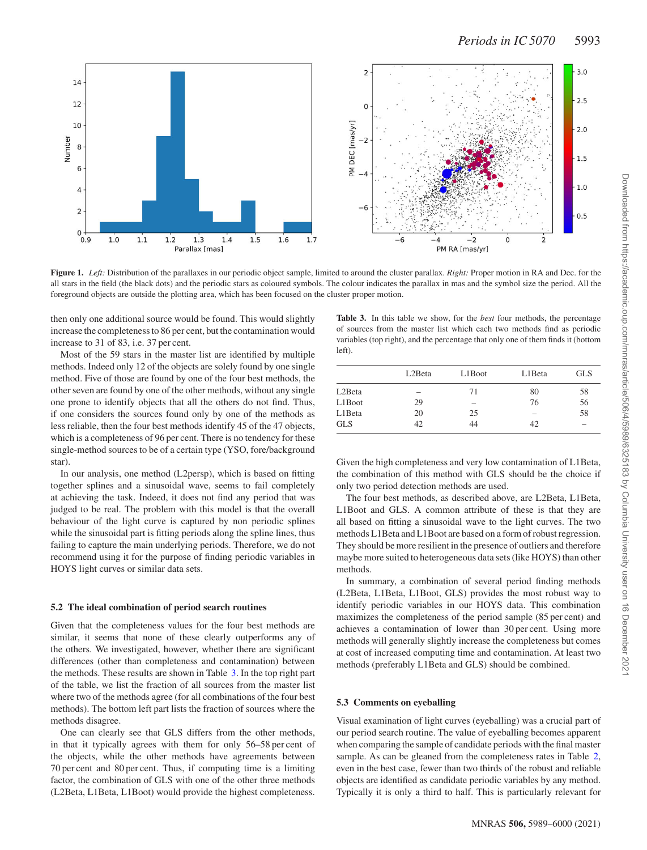

**Figure 1.** *Left:* Distribution of the parallaxes in our periodic object sample, limited to around the cluster parallax. *Right:* Proper motion in RA and Dec. for the all stars in the field (the black dots) and the periodic stars as coloured symbols. The colour indicates the parallax in mas and the symbol size the period. All the foreground objects are outside the plotting area, which has been focused on the cluster proper motion.

then only one additional source would be found. This would slightly increase the completenessto 86 per cent, but the contamination would increase to 31 of 83, i.e. 37 per cent.

Most of the 59 stars in the master list are identified by multiple methods. Indeed only 12 of the objects are solely found by one single method. Five of those are found by one of the four best methods, the other seven are found by one of the other methods, without any single one prone to identify objects that all the others do not find. Thus, if one considers the sources found only by one of the methods as less reliable, then the four best methods identify 45 of the 47 objects, which is a completeness of 96 per cent. There is no tendency for these single-method sources to be of a certain type (YSO, fore/background star).

In our analysis, one method (L2persp), which is based on fitting together splines and a sinusoidal wave, seems to fail completely at achieving the task. Indeed, it does not find any period that was judged to be real. The problem with this model is that the overall behaviour of the light curve is captured by non periodic splines while the sinusoidal part is fitting periods along the spline lines, thus failing to capture the main underlying periods. Therefore, we do not recommend using it for the purpose of finding periodic variables in HOYS light curves or similar data sets.

#### **5.2 The ideal combination of period search routines**

Given that the completeness values for the four best methods are similar, it seems that none of these clearly outperforms any of the others. We investigated, however, whether there are significant differences (other than completeness and contamination) between the methods. These results are shown in Table 3. In the top right part of the table, we list the fraction of all sources from the master list where two of the methods agree (for all combinations of the four best methods). The bottom left part lists the fraction of sources where the methods disagree.

One can clearly see that GLS differs from the other methods, in that it typically agrees with them for only 56–58 per cent of the objects, while the other methods have agreements between 70 per cent and 80 per cent. Thus, if computing time is a limiting factor, the combination of GLS with one of the other three methods (L2Beta, L1Beta, L1Boot) would provide the highest completeness.

**Table 3.** In this table we show, for the *best* four methods, the percentage of sources from the master list which each two methods find as periodic variables (top right), and the percentage that only one of them finds it (bottom left).

|            | L2Beta            | L1Boot | L1Beta                   | <b>GLS</b> |
|------------|-------------------|--------|--------------------------|------------|
| L2Beta     | $\hspace{0.05cm}$ | 71     | 80                       | 58         |
| L1Boot     | 29                | -      | 76                       | 56         |
| L1Beta     | 20                | 25     | $\overline{\phantom{a}}$ | 58         |
| <b>GLS</b> | 42                | 44     | 42                       |            |

Given the high completeness and very low contamination of L1Beta, the combination of this method with GLS should be the choice if only two period detection methods are used.

The four best methods, as described above, are L2Beta, L1Beta, L1Boot and GLS. A common attribute of these is that they are all based on fitting a sinusoidal wave to the light curves. The two methods L1Beta and L1Boot are based on a form of robust regression. They should be more resilient in the presence of outliers and therefore maybe more suited to heterogeneous data sets(like HOYS) than other methods.

In summary, a combination of several period finding methods (L2Beta, L1Beta, L1Boot, GLS) provides the most robust way to identify periodic variables in our HOYS data. This combination maximizes the completeness of the period sample (85 per cent) and achieves a contamination of lower than 30 per cent. Using more methods will generally slightly increase the completeness but comes at cost of increased computing time and contamination. At least two methods (preferably L1Beta and GLS) should be combined.

#### **5.3 Comments on eyeballing**

Visual examination of light curves (eyeballing) was a crucial part of our period search routine. The value of eyeballing becomes apparent when comparing the sample of candidate periods with the final master sample. As can be gleaned from the completeness rates in Table 2, even in the best case, fewer than two thirds of the robust and reliable objects are identified as candidate periodic variables by any method. Typically it is only a third to half. This is particularly relevant for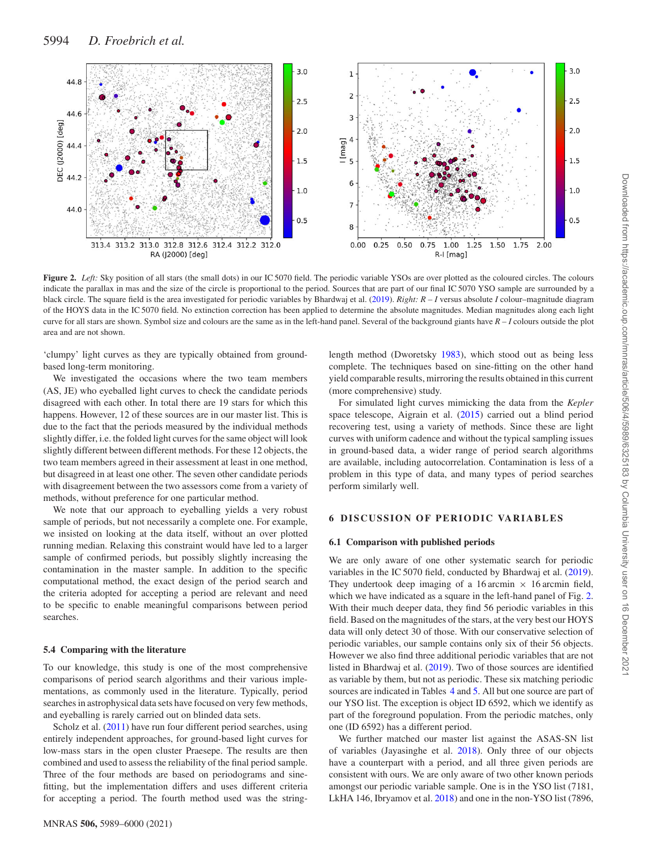

**Figure 2.** *Left:* Sky position of all stars (the small dots) in our IC 5070 field. The periodic variable YSOs are over plotted as the coloured circles. The colours indicate the parallax in mas and the size of the circle is proportional to the period. Sources that are part of our final IC 5070 YSO sample are surrounded by a black circle. The square field is the area investigated for periodic variables by Bhardwaj et al. (2019). *Right: R – I* versus absolute *I* colour–magnitude diagram of the HOYS data in the IC 5070 field. No extinction correction has been applied to determine the absolute magnitudes. Median magnitudes along each light curve for all stars are shown. Symbol size and colours are the same as in the left-hand panel. Several of the background giants have *R – I* colours outside the plot area and are not shown.

'clumpy' light curves as they are typically obtained from groundbased long-term monitoring.

We investigated the occasions where the two team members (AS, JE) who eyeballed light curves to check the candidate periods disagreed with each other. In total there are 19 stars for which this happens. However, 12 of these sources are in our master list. This is due to the fact that the periods measured by the individual methods slightly differ, i.e. the folded light curves for the same object will look slightly different between different methods. For these 12 objects, the two team members agreed in their assessment at least in one method, but disagreed in at least one other. The seven other candidate periods with disagreement between the two assessors come from a variety of methods, without preference for one particular method.

We note that our approach to eyeballing yields a very robust sample of periods, but not necessarily a complete one. For example, we insisted on looking at the data itself, without an over plotted running median. Relaxing this constraint would have led to a larger sample of confirmed periods, but possibly slightly increasing the contamination in the master sample. In addition to the specific computational method, the exact design of the period search and the criteria adopted for accepting a period are relevant and need to be specific to enable meaningful comparisons between period searches.

#### **5.4 Comparing with the literature**

To our knowledge, this study is one of the most comprehensive comparisons of period search algorithms and their various implementations, as commonly used in the literature. Typically, period searches in astrophysical data sets have focused on very few methods, and eyeballing is rarely carried out on blinded data sets.

Scholz et al. (2011) have run four different period searches, using entirely independent approaches, for ground-based light curves for low-mass stars in the open cluster Praesepe. The results are then combined and used to assessthe reliability of the final period sample. Three of the four methods are based on periodograms and sinefitting, but the implementation differs and uses different criteria for accepting a period. The fourth method used was the stringlength method (Dworetsky 1983), which stood out as being less complete. The techniques based on sine-fitting on the other hand yield comparable results, mirroring the results obtained in this current (more comprehensive) study.

For simulated light curves mimicking the data from the *Kepler* space telescope, Aigrain et al. (2015) carried out a blind period recovering test, using a variety of methods. Since these are light curves with uniform cadence and without the typical sampling issues in ground-based data, a wider range of period search algorithms are available, including autocorrelation. Contamination is less of a problem in this type of data, and many types of period searches perform similarly well.

#### **6** DISCUSSION OF PERIODIC VARIABLES

#### **6.1 Comparison with published periods**

We are only aware of one other systematic search for periodic variables in the IC 5070 field, conducted by Bhardwaj et al. (2019). They undertook deep imaging of a 16 arcmin  $\times$  16 arcmin field, which we have indicated as a square in the left-hand panel of Fig. 2. With their much deeper data, they find 56 periodic variables in this field. Based on the magnitudes of the stars, at the very best our HOYS data will only detect 30 of those. With our conservative selection of periodic variables, our sample contains only six of their 56 objects. However we also find three additional periodic variables that are not listed in Bhardwaj et al. (2019). Two of those sources are identified as variable by them, but not as periodic. These six matching periodic sources are indicated in Tables 4 and 5. All but one source are part of our YSO list. The exception is object ID 6592, which we identify as part of the foreground population. From the periodic matches, only one (ID 6592) has a different period.

We further matched our master list against the ASAS-SN list of variables (Jayasinghe et al. 2018). Only three of our objects have a counterpart with a period, and all three given periods are consistent with ours. We are only aware of two other known periods amongst our periodic variable sample. One is in the YSO list (7181, LkHA 146, Ibryamov et al. 2018) and one in the non-YSO list (7896,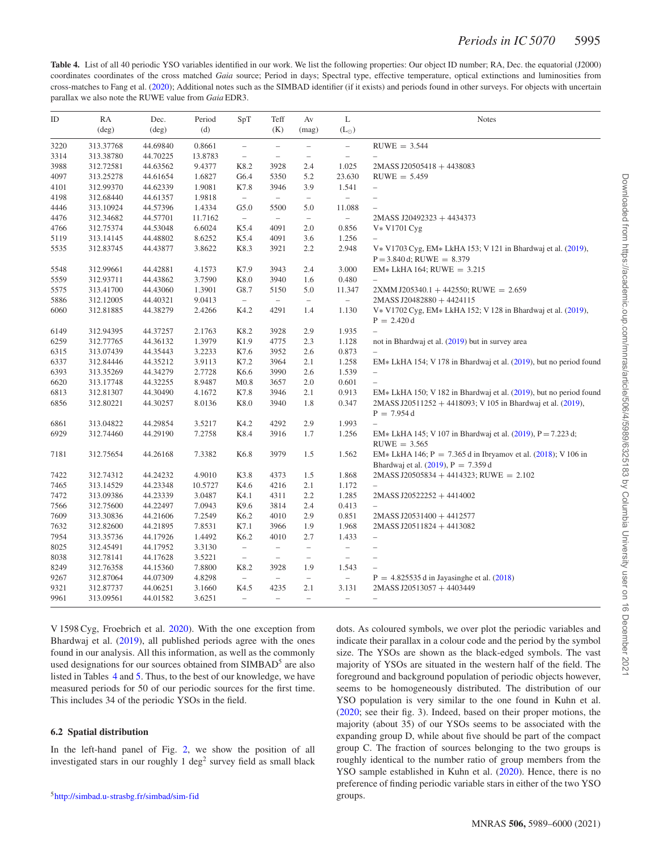**Table 4.** List of all 40 periodic YSO variables identified in our work. We list the following properties: Our object ID number; RA, Dec. the equatorial (J2000) coordinates coordinates of the cross matched *Gaia* source; Period in days; Spectral type, effective temperature, optical extinctions and luminosities from cross-matches to Fang et al. (2020); Additional notes such as the SIMBAD identifier (if it exists) and periods found in other surveys. For objects with uncertain parallax we also note the RUWE value from *Gaia* EDR3.

| ID   | RA             | Dec.           | Period  | SpT                      | Teff                     | Av                       | L                                                                            | <b>Notes</b>                                                       |
|------|----------------|----------------|---------|--------------------------|--------------------------|--------------------------|------------------------------------------------------------------------------|--------------------------------------------------------------------|
|      | $(\text{deg})$ | $(\text{deg})$ | (d)     |                          | (K)                      | (mag)                    | $(L_{\odot})$                                                                |                                                                    |
| 3220 | 313.37768      | 44.69840       | 0.8661  | $\equiv$                 | $\equiv$                 | $\hspace{0.1in} -$       | $\hspace{0.1in} \hspace{0.1in} \hspace{0.1in} \hspace{0.1in} \hspace{0.1in}$ | $RUWE = 3.544$                                                     |
| 3314 | 313.38780      | 44.70225       | 13.8783 | $\equiv$                 | $\equiv$                 | $\equiv$                 | $\equiv$                                                                     | $\equiv$                                                           |
| 3988 | 312.72581      | 44.63562       | 9.4377  | K8.2                     | 3928                     | 2.4                      | 1.025                                                                        | 2MASS J20505418 + 4438083                                          |
| 4097 | 313.25278      | 44.61654       | 1.6827  | G6.4                     | 5350                     | 5.2                      | 23.630                                                                       | $RUWE = 5.459$                                                     |
| 4101 | 312.99370      | 44.62339       | 1.9081  | K7.8                     | 3946                     | 3.9                      | 1.541                                                                        | $\equiv$                                                           |
| 4198 | 312.68440      | 44.61357       | 1.9818  | $\equiv$                 | $\overline{\phantom{m}}$ | $\equiv$                 | $\overline{\phantom{0}}$                                                     | $\overline{\phantom{a}}$                                           |
| 4446 | 313.10924      | 44.57396       | 1.4334  | G5.0                     | 5500                     | 5.0                      | 11.088                                                                       | $\equiv$                                                           |
| 4476 | 312.34682      | 44.57701       | 11.7162 | $\equiv$                 | $\qquad \qquad -$        | $\equiv$                 | $\equiv$                                                                     | 2MASS J20492323 + 4434373                                          |
| 4766 | 312.75374      | 44.53048       | 6.6024  | K5.4                     | 4091                     | 2.0                      | 0.856                                                                        | V* V1701 Cyg                                                       |
| 5119 | 313.14145      | 44.48802       | 8.6252  | K5.4                     | 4091                     | 3.6                      | 1.256                                                                        |                                                                    |
| 5535 | 312.83745      | 44.43877       | 3.8622  | K8.3                     | 3921                     | 2.2                      | 2.948                                                                        | V* V1703 Cyg, EM* LkHA 153; V 121 in Bhardwaj et al. (2019),       |
|      |                |                |         |                          |                          |                          |                                                                              | $P = 3.840$ d; RUWE = $8.379$                                      |
| 5548 | 312.99661      | 44.42881       | 4.1573  | K7.9                     | 3943                     | 2.4                      | 3.000                                                                        | $EM* LkHA$ 164; RUWE = 3.215                                       |
| 5559 | 312.93711      | 44.43862       | 3.7590  | K8.0                     | 3940                     | 1.6                      | 0.480                                                                        | $\equiv$                                                           |
| 5575 | 313.41700      | 44.43060       | 1.3901  | G8.7                     | 5150                     | 5.0                      | 11.347                                                                       | $2XMMJ205340.1 + 442550$ ; RUWE = 2.659                            |
| 5886 | 312.12005      | 44.40321       | 9.0413  | $\equiv$                 | $\equiv$                 | $\equiv$                 | ÷.                                                                           | 2MASS J20482880 + 4424115                                          |
| 6060 | 312.81885      | 44.38279       | 2.4266  | K4.2                     | 4291                     | 1.4                      | 1.130                                                                        | V* V1702 Cyg, EM* LkHA 152; V 128 in Bhardwaj et al. (2019),       |
|      |                |                |         |                          |                          |                          |                                                                              | $P = 2.420 d$                                                      |
| 6149 | 312.94395      | 44.37257       | 2.1763  | K8.2                     | 3928                     | 2.9                      | 1.935                                                                        | $\equiv$                                                           |
| 6259 | 312.77765      | 44.36132       | 1.3979  | K1.9                     | 4775                     | 2.3                      | 1.128                                                                        | not in Bhardwaj et al. (2019) but in survey area                   |
| 6315 | 313.07439      | 44.35443       | 3.2233  | K7.6                     | 3952                     | 2.6                      | 0.873                                                                        | $\equiv$                                                           |
| 6337 | 312.84446      | 44.35212       | 3.9113  | K7.2                     | 3964                     | 2.1                      | 1.258                                                                        | EM* LkHA 154; V 178 in Bhardwaj et al. (2019), but no period found |
| 6393 | 313.35269      | 44.34279       | 2.7728  | K6.6                     | 3990                     | 2.6                      | 1.539                                                                        | $\equiv$                                                           |
| 6620 | 313.17748      | 44.32255       | 8.9487  | M <sub>0.8</sub>         | 3657                     | 2.0                      | 0.601                                                                        | $\overline{\phantom{m}}$                                           |
| 6813 | 312.81307      | 44.30490       | 4.1672  | K7.8                     | 3946                     | 2.1                      | 0.913                                                                        | EM* LkHA 150; V 182 in Bhardwaj et al. (2019), but no period found |
| 6856 | 312.80221      | 44.30257       | 8.0136  | K8.0                     | 3940                     | 1.8                      | 0.347                                                                        | 2MASS J20511252 + 4418093; V 105 in Bhardwaj et al. (2019),        |
|      |                |                |         |                          |                          |                          |                                                                              | $P = 7.954 d$                                                      |
| 6861 | 313.04822      | 44.29854       | 3.5217  | K4.2                     | 4292                     | 2.9                      | 1.993                                                                        | $\equiv$                                                           |
| 6929 | 312.74460      | 44.29190       | 7.2758  | K8.4                     | 3916                     | 1.7                      | 1.256                                                                        | EM* LkHA 145; V 107 in Bhardwaj et al. $(2019)$ , P = 7.223 d;     |
|      |                |                |         |                          |                          |                          |                                                                              | $RUWE = 3.565$                                                     |
| 7181 | 312.75654      | 44.26168       | 7.3382  | K6.8                     | 3979                     | 1.5                      | 1.562                                                                        | EM* LkHA 146; $P = 7.365 d$ in Ibryamov et al. (2018); V 106 in    |
|      |                |                |         |                          |                          |                          |                                                                              | Bhardwaj et al. $(2019)$ , P = 7.359 d                             |
| 7422 | 312.74312      | 44.24232       | 4.9010  | K3.8                     | 4373                     | 1.5                      | 1.868                                                                        | $2MASS$ J20505834 + 4414323; RUWE = 2.102                          |
| 7465 | 313.14529      | 44.23348       | 10.5727 | K4.6                     | 4216                     | 2.1                      | 1.172                                                                        | $\overline{\phantom{0}}$                                           |
| 7472 | 313.09386      | 44.23339       | 3.0487  | K4.1                     | 4311                     | 2.2                      | 1.285                                                                        | $2MASS J20522252 + 4414002$                                        |
| 7566 | 312.75600      | 44.22497       | 7.0943  | K9.6                     | 3814                     | 2.4                      | 0.413                                                                        | $\equiv$                                                           |
| 7609 | 313.30836      | 44.21606       | 7.2549  | K6.2                     | 4010                     | 2.9                      | 0.851                                                                        | 2MASS J20531400 + 4412577                                          |
| 7632 | 312.82600      | 44.21895       | 7.8531  | K7.1                     | 3966                     | 1.9                      | 1.968                                                                        | $2MASS$ J20511824 + 4413082                                        |
| 7954 | 313.35736      | 44.17926       | 1.4492  | K6.2                     | 4010                     | 2.7                      | 1.433                                                                        | $\equiv$                                                           |
| 8025 | 312.45491      | 44.17952       | 3.3130  | $\overline{\phantom{m}}$ | $\overline{\phantom{m}}$ | $\equiv$                 | $\overline{\phantom{a}}$                                                     | $\overline{\phantom{m}}$                                           |
| 8038 | 312.78141      | 44.17628       | 3.5221  | $\equiv$                 | $\equiv$                 | $\overline{\phantom{m}}$ | $\equiv$                                                                     | $\overline{\phantom{m}}$                                           |
| 8249 | 312.76358      | 44.15360       | 7.8800  | K8.2                     | 3928                     | 1.9                      | 1.543                                                                        |                                                                    |
| 9267 | 312.87064      | 44.07309       | 4.8298  | $\equiv$                 | $\equiv$                 | $\equiv$                 | $\equiv$                                                                     | $P = 4.825535 d$ in Jayasinghe et al. (2018)                       |
| 9321 | 312.87737      | 44.06251       | 3.1660  | K4.5                     | 4235                     | 2.1                      | 3.131                                                                        | $2MASS$ J20513057 + 4403449                                        |
| 9961 | 313.09561      | 44.01582       | 3.6251  | $\equiv$                 | $\overline{\phantom{0}}$ | $\equiv$                 | $\equiv$                                                                     | $\overline{\phantom{m}}$                                           |
|      |                |                |         |                          |                          |                          |                                                                              |                                                                    |

V 1598 Cyg, Froebrich et al. 2020). With the one exception from Bhardwaj et al. (2019), all published periods agree with the ones found in our analysis. All this information, as well as the commonly used designations for our sources obtained from SIMBAD<sup>5</sup> are also listed in Tables 4 and 5. Thus, to the best of our knowledge, we have measured periods for 50 of our periodic sources for the first time. This includes 34 of the periodic YSOs in the field.

#### **6.2 Spatial distribution**

In the left-hand panel of Fig. 2, we show the position of all investigated stars in our roughly  $1 \text{ deg}^2$  survey field as small black dots. As coloured symbols, we over plot the periodic variables and indicate their parallax in a colour code and the period by the symbol size. The YSOs are shown as the black-edged symbols. The vast majority of YSOs are situated in the western half of the field. The foreground and background population of periodic objects however, seems to be homogeneously distributed. The distribution of our YSO population is very similar to the one found in Kuhn et al. (2020; see their fig. 3). Indeed, based on their proper motions, the majority (about 35) of our YSOs seems to be associated with the expanding group D, while about five should be part of the compact group C. The fraction of sources belonging to the two groups is roughly identical to the number ratio of group members from the YSO sample established in Kuhn et al. (2020). Hence, there is no preference of finding periodic variable stars in either of the two YSO groups.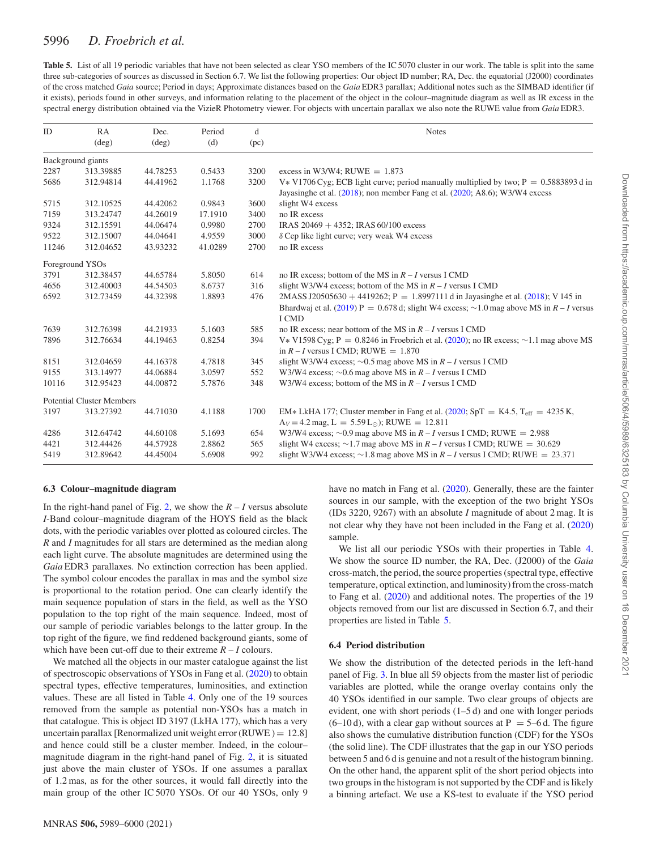| <b>Table 5.</b> List of all 19 periodic variables that have not been selected as clear YSO members of the IC 5070 cluster in our work. The table is split into the same |
|-------------------------------------------------------------------------------------------------------------------------------------------------------------------------|
| three sub-categories of sources as discussed in Section 6.7. We list the following properties: Our object ID number; RA, Dec. the equatorial (J2000) coordinates        |
| of the cross matched Gaia source; Period in days; Approximate distances based on the Gaia EDR3 parallax; Additional notes such as the SIMBAD identifier (if             |
| it exists), periods found in other surveys, and information relating to the placement of the object in the colour-magnitude diagram as well as IR excess in the         |
| spectral energy distribution obtained via the VizieR Photometry viewer. For objects with uncertain parallax we also note the RUWE value from Gaia EDR3.                 |

| ID    | RA<br>$(\text{deg})$             | Dec.<br>$(\text{deg})$ | Period<br>(d) | d<br>(pc) | <b>Notes</b>                                                                                                                                                                               |
|-------|----------------------------------|------------------------|---------------|-----------|--------------------------------------------------------------------------------------------------------------------------------------------------------------------------------------------|
|       | Background giants                |                        |               |           |                                                                                                                                                                                            |
| 2287  | 313.39885                        | 44.78253               | 0.5433        | 3200      | excess in W3/W4; RUWE $= 1.873$                                                                                                                                                            |
| 5686  | 312.94814                        | 44.41962               | 1.1768        | 3200      | V * V1706 Cyg; ECB light curve; period manually multiplied by two; $P = 0.5883893 d$ in<br>Jayasinghe et al. (2018); non member Fang et al. (2020; A8.6); W3/W4 excess                     |
| 5715  | 312.10525                        | 44.42062               | 0.9843        | 3600      | slight W4 excess                                                                                                                                                                           |
| 7159  | 313.24747                        | 44.26019               | 17.1910       | 3400      | no IR excess                                                                                                                                                                               |
| 9324  | 312.15591                        | 44.06474               | 0.9980        | 2700      | IRAS 20469 + 4352; IRAS 60/100 excess                                                                                                                                                      |
| 9522  | 312.15007                        | 44.04641               | 4.9559        | 3000      | $\delta$ Cep like light curve; very weak W4 excess                                                                                                                                         |
| 11246 | 312.04652                        | 43.93232               | 41.0289       | 2700      | no IR excess                                                                                                                                                                               |
|       | Foreground YSOs                  |                        |               |           |                                                                                                                                                                                            |
| 3791  | 312.38457                        | 44.65784               | 5.8050        | 614       | no IR excess: bottom of the MS in $R - I$ versus I CMD                                                                                                                                     |
| 4656  | 312.40003                        | 44.54503               | 8.6737        | 316       | slight W3/W4 excess; bottom of the MS in $R - I$ versus I CMD                                                                                                                              |
| 6592  | 312.73459                        | 44.32398               | 1.8893        | 476       | 2MASS J20505630 + 4419262; P = 1.8997111 d in Jayasinghe et al. (2018); V 145 in<br>Bhardwai et al. (2019) P = 0.678 d; slight W4 excess; $\sim$ 1.0 mag above MS in R – I versus<br>I CMD |
| 7639  | 312.76398                        | 44.21933               | 5.1603        | 585       | no IR excess: near bottom of the MS in $R - I$ versus I CMD                                                                                                                                |
| 7896  | 312.76634                        | 44.19463               | 0.8254        | 394       | V * V1598 Cyg; P = 0.8246 in Froebrich et al. (2020); no IR excess; $\sim$ 1.1 mag above MS<br>in $R - I$ versus I CMD; RUWE = 1.870                                                       |
| 8151  | 312.04659                        | 44.16378               | 4.7818        | 345       | slight W3/W4 excess; $\sim$ 0.5 mag above MS in $R - I$ versus I CMD                                                                                                                       |
| 9155  | 313.14977                        | 44.06884               | 3.0597        | 552       | W3/W4 excess; $\sim$ 0.6 mag above MS in $R - I$ versus I CMD                                                                                                                              |
| 10116 | 312.95423                        | 44.00872               | 5.7876        | 348       | W3/W4 excess; bottom of the MS in $R - I$ versus I CMD                                                                                                                                     |
|       | <b>Potential Cluster Members</b> |                        |               |           |                                                                                                                                                                                            |
| 3197  | 313.27392                        | 44.71030               | 4.1188        | 1700      | EM* LkHA 177; Cluster member in Fang et al. (2020; SpT = K4.5, T <sub>eff</sub> = 4235 K,<br>$A_V = 4.2$ mag, $L = 5.59 L_{\odot}$ ; RUWE = 12.811                                         |
| 4286  | 312.64742                        | 44.60108               | 5.1693        | 654       | W3/W4 excess; $\sim$ 0.9 mag above MS in R – I versus I CMD; RUWE = 2.988                                                                                                                  |
| 4421  | 312.44426                        | 44.57928               | 2.8862        | 565       | slight W4 excess; $\sim$ 1.7 mag above MS in R – I versus I CMD; RUWE = 30.629                                                                                                             |
| 5419  | 312.89642                        | 44.45004               | 5.6908        | 992       | slight W3/W4 excess; $\sim$ 1.8 mag above MS in R – I versus I CMD; RUWE = 23.371                                                                                                          |

#### **6.3 Colour–magnitude diagram**

In the right-hand panel of Fig. 2, we show the  $R - I$  versus absolute *I*-Band colour–magnitude diagram of the HOYS field as the black dots, with the periodic variables over plotted as coloured circles. The *R* and *I* magnitudes for all stars are determined as the median along each light curve. The absolute magnitudes are determined using the *Gaia* EDR3 parallaxes. No extinction correction has been applied. The symbol colour encodes the parallax in mas and the symbol size is proportional to the rotation period. One can clearly identify the main sequence population of stars in the field, as well as the YSO population to the top right of the main sequence. Indeed, most of our sample of periodic variables belongs to the latter group. In the top right of the figure, we find reddened background giants, some of which have been cut-off due to their extreme  $R - I$  colours.

We matched all the objects in our master catalogue against the list of spectroscopic observations of YSOs in Fang et al. (2020) to obtain spectral types, effective temperatures, luminosities, and extinction values. These are all listed in Table 4. Only one of the 19 sources removed from the sample as potential non-YSOs has a match in that catalogue. This is object ID 3197 (LkHA 177), which has a very uncertain parallax [Renormalized unit weight error (RUWE)  $= 12.8$ ] and hence could still be a cluster member. Indeed, in the colour– magnitude diagram in the right-hand panel of Fig. 2, it is situated just above the main cluster of YSOs. If one assumes a parallax of 1.2 mas, as for the other sources, it would fall directly into the main group of the other IC 5070 YSOs. Of our 40 YSOs, only 9 have no match in Fang et al. (2020). Generally, these are the fainter sources in our sample, with the exception of the two bright YSOs (IDs 3220, 9267) with an absolute *I* magnitude of about 2 mag. It is not clear why they have not been included in the Fang et al. (2020) sample.

We list all our periodic YSOs with their properties in Table 4. We show the source ID number, the RA, Dec. (J2000) of the *Gaia* cross-match, the period, the source properties(spectral type, effective temperature, optical extinction, and luminosity) from the cross-match to Fang et al. (2020) and additional notes. The properties of the 19 objects removed from our list are discussed in Section 6.7, and their properties are listed in Table 5.

#### **6.4 Period distribution**

We show the distribution of the detected periods in the left-hand panel of Fig. 3. In blue all 59 objects from the master list of periodic variables are plotted, while the orange overlay contains only the 40 YSOs identified in our sample. Two clear groups of objects are evident, one with short periods (1–5 d) and one with longer periods  $(6–10 d)$ , with a clear gap without sources at P = 5–6 d. The figure also shows the cumulative distribution function (CDF) for the YSOs (the solid line). The CDF illustrates that the gap in our YSO periods between 5 and 6 d is genuine and not a result of the histogram binning. On the other hand, the apparent split of the short period objects into two groups in the histogram is not supported by the CDF and is likely a binning artefact. We use a KS-test to evaluate if the YSO period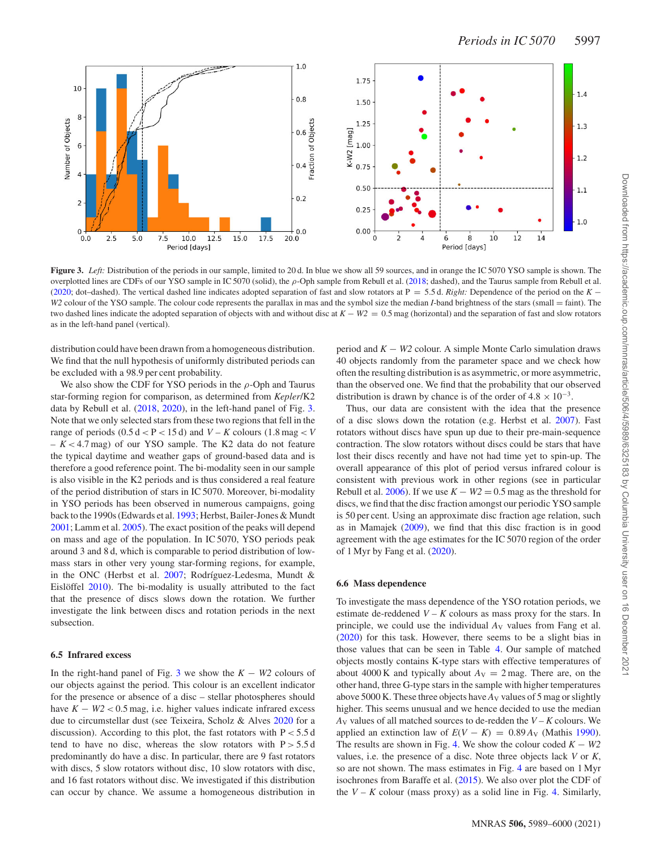

**Figure 3.** *Left:* Distribution of the periods in our sample, limited to 20 d. In blue we show all 59 sources, and in orange the IC 5070 YSO sample is shown. The overplotted lines are CDFs of our YSO sample in IC 5070 (solid), the *ρ*-Oph sample from Rebull et al. (2018; dashed), and the Taurus sample from Rebull et al. (2020; dot–dashed). The vertical dashed line indicates adopted separation of fast and slow rotators at P = 5.5 d. *Right:* Dependence of the period on the *K* − *W2* colour of the YSO sample. The colour code represents the parallax in mas and the symbol size the median *I*-band brightness of the stars (small = faint). The two dashed lines indicate the adopted separation of objects with and without disc at *K* − *W2* = 0.5 mag (horizontal) and the separation of fast and slow rotators as in the left-hand panel (vertical).

distribution could have been drawn from a homogeneous distribution. We find that the null hypothesis of uniformly distributed periods can be excluded with a 98.9 per cent probability.

We also show the CDF for YSO periods in the *ρ*-Oph and Taurus star-forming region for comparison, as determined from *Kepler*/K2 data by Rebull et al. (2018, 2020), in the left-hand panel of Fig. 3. Note that we only selected stars from these two regions that fell in the range of periods  $(0.5 d < P < 15 d)$  and  $V - K$  colours  $(1.8 mag < V)$ *– K <* 4.7 mag) of our YSO sample. The K2 data do not feature the typical daytime and weather gaps of ground-based data and is therefore a good reference point. The bi-modality seen in our sample is also visible in the K2 periods and is thus considered a real feature of the period distribution of stars in IC 5070. Moreover, bi-modality in YSO periods has been observed in numerous campaigns, going back to the 1990s (Edwards et al. 1993; Herbst, Bailer-Jones & Mundt 2001; Lamm et al. 2005). The exact position of the peaks will depend on mass and age of the population. In IC 5070, YSO periods peak around 3 and 8 d, which is comparable to period distribution of lowmass stars in other very young star-forming regions, for example, in the ONC (Herbst et al.  $2007$ ; Rodríguez-Ledesma, Mundt & Eislöffel 2010). The bi-modality is usually attributed to the fact that the presence of discs slows down the rotation. We further investigate the link between discs and rotation periods in the next subsection.

#### **6.5 Infrared excess**

In the right-hand panel of Fig. 3 we show the  $K - W2$  colours of our objects against the period. This colour is an excellent indicator for the presence or absence of a disc – stellar photospheres should have  $K - W2 < 0.5$  mag, i.e. higher values indicate infrared excess due to circumstellar dust (see Teixeira, Scholz & Alves 2020 for a discussion). According to this plot, the fast rotators with P *<* 5.5 d tend to have no disc, whereas the slow rotators with  $P > 5.5 d$ predominantly do have a disc. In particular, there are 9 fast rotators with discs, 5 slow rotators without disc, 10 slow rotators with disc, and 16 fast rotators without disc. We investigated if this distribution can occur by chance. We assume a homogeneous distribution in period and *K* − *W2* colour. A simple Monte Carlo simulation draws 40 objects randomly from the parameter space and we check how often the resulting distribution is as asymmetric, or more asymmetric, than the observed one. We find that the probability that our observed distribution is drawn by chance is of the order of  $4.8 \times 10^{-3}$ .

Thus, our data are consistent with the idea that the presence of a disc slows down the rotation (e.g. Herbst et al. 2007). Fast rotators without discs have spun up due to their pre-main-sequence contraction. The slow rotators without discs could be stars that have lost their discs recently and have not had time yet to spin-up. The overall appearance of this plot of period versus infrared colour is consistent with previous work in other regions (see in particular Rebull et al. 2006). If we use  $K - W2 = 0.5$  mag as the threshold for discs, we find that the disc fraction amongst our periodic YSO sample is 50 per cent. Using an approximate disc fraction age relation, such as in Mamajek (2009), we find that this disc fraction is in good agreement with the age estimates for the IC 5070 region of the order of 1 Myr by Fang et al. (2020).

#### **6.6 Mass dependence**

To investigate the mass dependence of the YSO rotation periods, we estimate de-reddened  $V - K$  colours as mass proxy for the stars. In principle, we could use the individual  $A_V$  values from Fang et al. (2020) for this task. However, there seems to be a slight bias in those values that can be seen in Table 4. Our sample of matched objects mostly contains K-type stars with effective temperatures of about 4000 K and typically about  $A_V = 2$  mag. There are, on the other hand, three G-type starsin the sample with higher temperatures above 5000 K. These three objects have  $A_V$  values of 5 mag or slightly higher. This seems unusual and we hence decided to use the median  $A_V$  values of all matched sources to de-redden the  $V - K$  colours. We applied an extinction law of  $E(V - K) = 0.89 A<sub>V</sub>$  (Mathis 1990). The results are shown in Fig. 4. We show the colour coded  $K - W2$ values, i.e. the presence of a disc. Note three objects lack *V* or *K*, so are not shown. The mass estimates in Fig. 4 are based on 1 Myr isochrones from Baraffe et al. (2015). We also over plot the CDF of the  $V - K$  colour (mass proxy) as a solid line in Fig. 4. Similarly,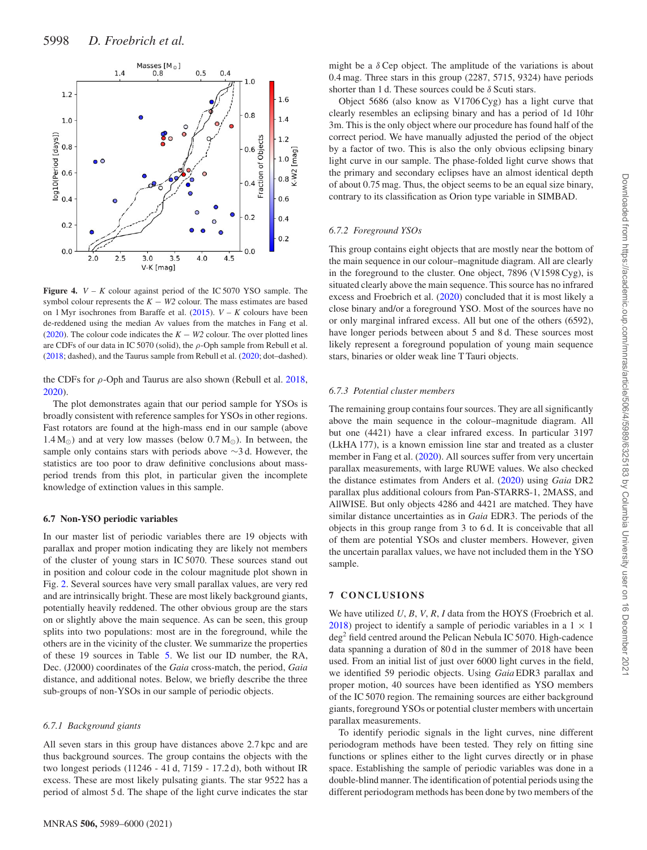

**Figure 4.** *V – K* colour against period of the IC 5070 YSO sample. The symbol colour represents the  $K - W2$  colour. The mass estimates are based on 1 Myr isochrones from Baraffe et al. (2015). *V – K* colours have been de-reddened using the median Av values from the matches in Fang et al. (2020). The colour code indicates the  $K - W2$  colour. The over plotted lines are CDFs of our data in IC 5070 (solid), the *ρ*-Oph sample from Rebull et al. (2018; dashed), and the Taurus sample from Rebull et al. (2020; dot–dashed).

the CDFs for *ρ*-Oph and Taurus are also shown (Rebull et al. 2018, 2020).

The plot demonstrates again that our period sample for YSOs is broadly consistent with reference samples for YSOs in other regions. Fast rotators are found at the high-mass end in our sample (above  $1.4 M_{\odot}$ ) and at very low masses (below  $0.7 M_{\odot}$ ). In between, the sample only contains stars with periods above ∼3 d. However, the statistics are too poor to draw definitive conclusions about massperiod trends from this plot, in particular given the incomplete knowledge of extinction values in this sample.

#### **6.7 Non-YSO periodic variables**

In our master list of periodic variables there are 19 objects with parallax and proper motion indicating they are likely not members of the cluster of young stars in IC 5070. These sources stand out in position and colour code in the colour magnitude plot shown in Fig. 2. Several sources have very small parallax values, are very red and are intrinsically bright. These are most likely background giants, potentially heavily reddened. The other obvious group are the stars on or slightly above the main sequence. As can be seen, this group splits into two populations: most are in the foreground, while the others are in the vicinity of the cluster. We summarize the properties of these 19 sources in Table 5. We list our ID number, the RA, Dec. (J2000) coordinates of the *Gaia* cross-match, the period, *Gaia* distance, and additional notes. Below, we briefly describe the three sub-groups of non-YSOs in our sample of periodic objects.

#### *6.7.1 Background giants*

All seven stars in this group have distances above 2.7 kpc and are thus background sources. The group contains the objects with the two longest periods (11246 - 41 d, 7159 - 17.2 d), both without IR excess. These are most likely pulsating giants. The star 9522 has a period of almost 5 d. The shape of the light curve indicates the star might be a *δ* Cep object. The amplitude of the variations is about 0.4 mag. Three stars in this group (2287, 5715, 9324) have periods shorter than 1 d. These sources could be *δ* Scuti stars.

Object 5686 (also know as V1706 Cyg) has a light curve that clearly resembles an eclipsing binary and has a period of 1d 10hr 3m. This is the only object where our procedure has found half of the correct period. We have manually adjusted the period of the object by a factor of two. This is also the only obvious eclipsing binary light curve in our sample. The phase-folded light curve shows that the primary and secondary eclipses have an almost identical depth of about 0.75 mag. Thus, the object seems to be an equal size binary, contrary to its classification as Orion type variable in SIMBAD.

#### *6.7.2 Foreground YSOs*

This group contains eight objects that are mostly near the bottom of the main sequence in our colour–magnitude diagram. All are clearly in the foreground to the cluster. One object, 7896 (V1598 Cyg), is situated clearly above the main sequence. This source has no infrared excess and Froebrich et al. (2020) concluded that it is most likely a close binary and/or a foreground YSO. Most of the sources have no or only marginal infrared excess. All but one of the others (6592), have longer periods between about 5 and 8 d. These sources most likely represent a foreground population of young main sequence stars, binaries or older weak line T Tauri objects.

#### *6.7.3 Potential cluster members*

The remaining group contains four sources. They are all significantly above the main sequence in the colour–magnitude diagram. All but one (4421) have a clear infrared excess. In particular 3197 (LkHA 177), is a known emission line star and treated as a cluster member in Fang et al. (2020). All sources suffer from very uncertain parallax measurements, with large RUWE values. We also checked the distance estimates from Anders et al. (2020) using *Gaia* DR2 parallax plus additional colours from Pan-STARRS-1, 2MASS, and AllWISE. But only objects 4286 and 4421 are matched. They have similar distance uncertainties as in *Gaia* EDR3. The periods of the objects in this group range from 3 to 6 d. It is conceivable that all of them are potential YSOs and cluster members. However, given the uncertain parallax values, we have not included them in the YSO sample.

#### **7 CONCLUSIONS**

We have utilized *U*, *B*, *V*, *R*, *I* data from the HOYS (Froebrich et al. 2018) project to identify a sample of periodic variables in a  $1 \times 1$ deg<sup>2</sup> field centred around the Pelican Nebula IC 5070. High-cadence data spanning a duration of 80 d in the summer of 2018 have been used. From an initial list of just over 6000 light curves in the field, we identified 59 periodic objects. Using *Gaia* EDR3 parallax and proper motion, 40 sources have been identified as YSO members of the IC 5070 region. The remaining sources are either background giants, foreground YSOs or potential cluster members with uncertain parallax measurements.

To identify periodic signals in the light curves, nine different periodogram methods have been tested. They rely on fitting sine functions or splines either to the light curves directly or in phase space. Establishing the sample of periodic variables was done in a double-blind manner. The identification of potential periods using the different periodogram methods has been done by two members of the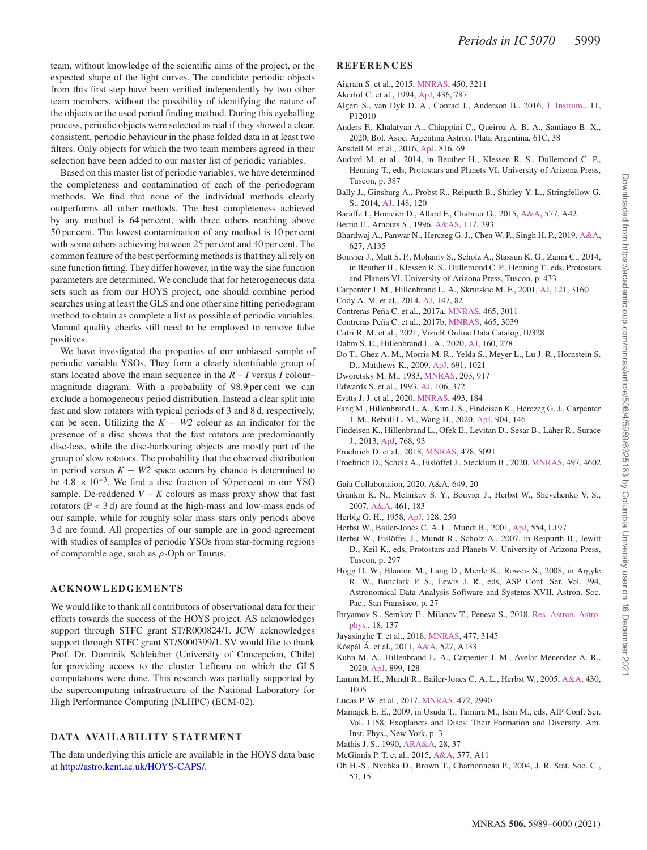team, without knowledge of the scientific aims of the project, or the expected shape of the light curves. The candidate periodic objects from this first step have been verified independently by two other team members, without the possibility of identifying the nature of the objects or the used period finding method. During this eyeballing process, periodic objects were selected as real if they showed a clear, consistent, periodic behaviour in the phase folded data in at least two filters. Only objects for which the two team members agreed in their selection have been added to our master list of periodic variables.

Based on this master list of periodic variables, we have determined the completeness and contamination of each of the periodogram methods. We find that none of the individual methods clearly outperforms all other methods. The best completeness achieved by any method is 64 per cent, with three others reaching above 50 per cent. The lowest contamination of any method is 10 per cent with some others achieving between 25 per cent and 40 per cent. The common feature of the best performing methods is that they all rely on sine function fitting. They differ however, in the way the sine function parameters are determined. We conclude that for heterogeneous data sets such as from our HOYS project, one should combine period searches using at least the GLS and one other sine fitting periodogram method to obtain as complete a list as possible of periodic variables. Manual quality checks still need to be employed to remove false positives.

We have investigated the properties of our unbiased sample of periodic variable YSOs. They form a clearly identifiable group of stars located above the main sequence in the  $R - I$  versus  $I$  colour– magnitude diagram. With a probability of 98.9 per cent we can exclude a homogeneous period distribution. Instead a clear split into fast and slow rotators with typical periods of 3 and 8 d, respectively, can be seen. Utilizing the  $K - W2$  colour as an indicator for the presence of a disc shows that the fast rotators are predominantly disc-less, while the disc-harbouring objects are mostly part of the group of slow rotators. The probability that the observed distribution in period versus  $K - W2$  space occurs by chance is determined to be  $4.8 \times 10^{-3}$ . We find a disc fraction of 50 per cent in our YSO sample. De-reddened  $V - K$  colours as mass proxy show that fast rotators (P *<* 3 d) are found at the high-mass and low-mass ends of our sample, while for roughly solar mass stars only periods above 3 d are found. All properties of our sample are in good agreement with studies of samples of periodic YSOs from star-forming regions of comparable age, such as *ρ*-Oph or Taurus.

#### **ACKNOWLEDGEMENTS**

We would like to thank all contributors of observational data for their efforts towards the success of the HOYS project. AS acknowledges support through STFC grant ST/R000824/1. JCW acknowledges support through STFC grant ST/S000399/1. SV would like to thank Prof. Dr. Dominik Schleicher (University of Concepcion, Chile) for providing access to the cluster Leftraru on which the GLS computations were done. This research was partially supported by the supercomputing infrastructure of the National Laboratory for High Performance Computing (NLHPC) (ECM-02).

#### **DATA AVAILABILITY STATEMENT**

The data underlying this article are available in the HOYS data base at [http://astro.kent.ac.uk/HOYS-CAPS/.](http://astro.kent.ac.uk/HOYS-CAPS/)

#### **REFERENCES**

- Aigrain S. et al., 2015, [MNRAS,](http://dx.doi.org/10.1093/mnras/stv853) 450, 3211
- Akerlof C. et al., 1994, [ApJ,](http://dx.doi.org/10.1086/174954) 436, 787
- Algeri S., van Dyk D. A., Conrad J., Anderson B., 2016, J. [Instrum.,](http://dx.doi.org/10.1088/1748-0221/11/12/P12010) 11, P12010
- Anders F., Khalatyan A., Chiappini C., Queiroz A. B. A., Santiago B. X., 2020, Bol. Asoc. Argentina Astron. Plata Argentina, 61C, 38
- Ansdell M. et al., 2016, [ApJ,](http://dx.doi.org/10.3847/0004-637X/816/2/69) 816, 69
- Audard M. et al., 2014, in Beuther H., Klessen R. S., Dullemond C. P., Henning T., eds, Protostars and Planets VI. University of Arizona Press, Tuscon, p. 387
- Bally J., Ginsburg A., Probst R., Reipurth B., Shirley Y. L., Stringfellow G. S., 2014, [AJ,](http://dx.doi.org/10.1088/0004-6256/148/6/120) 148, 120
- Baraffe I., Homeier D., Allard F., Chabrier G., 2015, [A&A,](http://dx.doi.org/10.1051/0004-6361/201425481) 577, A42
- Bertin E., Arnouts S., 1996, [A&AS,](http://dx.doi.org/10.1051/aas:1996164) 117, 393
- Bhardwaj A., Panwar N., Herczeg G. J., Chen W. P., Singh H. P., 2019, [A&A,](http://dx.doi.org/10.1051/0004-6361/201935418) 627, A135
- Bouvier J., Matt S. P., Mohanty S., Scholz A., Stassun K. G., Zanni C., 2014, in Beuther H., Klessen R. S., Dullemond C. P., Henning T., eds, Protostars and Planets VI. University of Arizona Press, Tuscon, p. 433
- Carpenter J. M., Hillenbrand L. A., Skrutskie M. F., 2001, [AJ,](http://dx.doi.org/10.1086/321086) 121, 3160
- Cody A. M. et al., 2014, [AJ,](http://dx.doi.org/10.1088/0004-6256/147/4/82) 147, 82
- Contreras Peña C. et al., 2017a, [MNRAS,](http://dx.doi.org/10.1093/mnras/stw2801) 465, 3011
- Contreras Peña C. et al., 2017b, [MNRAS,](http://dx.doi.org/10.1093/mnras/stw2802) 465, 3039 Cutri R. M. et al., 2021, VizieR Online Data Catalog, II/328
- 
- Dahm S. E., Hillenbrand L. A., 2020, [AJ,](http://dx.doi.org/10.3847/1538-3881/abbfa2) 160, 278
- Do T., Ghez A. M., Morris M. R., Yelda S., Meyer L., Lu J. R., Hornstein S. D., Matthews K., 2009, [ApJ,](http://dx.doi.org/10.1088/0004-637X/691/2/1021) 691, 1021
- Dworetsky M. M., 1983, [MNRAS,](http://dx.doi.org/10.1093/mnras/203.4.917) 203, 917
- Edwards S. et al., 1993, [AJ,](http://dx.doi.org/10.1086/116646) 106, 372
- Evitts J. J. et al., 2020, [MNRAS,](http://dx.doi.org/10.1093/mnras/staa158) 493, 184
- Fang M., Hillenbrand L. A., Kim J. S., Findeisen K., Herczeg G. J., Carpenter J. M., Rebull L. M., Wang H., 2020, [ApJ,](http://dx.doi.org/10.3847/1538-4357/abba84) 904, 146
- Findeisen K., Hillenbrand L., Ofek E., Levitan D., Sesar B., Laher R., Surace J., 2013, [ApJ,](http://dx.doi.org/10.1088/0004-637X/768/1/93) 768, 93
- Froebrich D. et al., 2018, [MNRAS,](http://dx.doi.org/10.1093/mnras/sty1350) 478, 5091
- Froebrich D., Scholz A., Eislöffel J., Stecklum B., 2020, [MNRAS,](http://dx.doi.org/10.1093/mnras/staa2275) 497, 4602

Gaia Collaboration, 2020, A&A, 649, 20

- Grankin K. N., Melnikov S. Y., Bouvier J., Herbst W., Shevchenko V. S., 2007, [A&A,](http://dx.doi.org/10.1051/0004-6361:20065489) 461, 183
- Herbig G. H., 1958, [ApJ,](http://dx.doi.org/10.1086/146540) 128, 259
- Herbst W., Bailer-Jones C. A. L., Mundt R., 2001, [ApJ,](http://dx.doi.org/10.1086/321706) 554, L197
- Herbst W., Eislöffel J., Mundt R., Scholz A., 2007, in Reipurth B., Jewitt D., Keil K., eds, Protostars and Planets V. University of Arizona Press, Tuscon, p. 297
- Hogg D. W., Blanton M., Lang D., Mierle K., Roweis S., 2008, in Argyle R. W., Bunclark P. S., Lewis J. R., eds, ASP Conf. Ser. Vol. 394, Astronomical Data Analysis Software and Systems XVII. Astron. Soc. Pac., San Fransisco, p. 27
- Ibryamov S., Semkov E., [Milanov](http://dx.doi.org/10.1088/1674-4527/18/11/137) T., Peneva S., 2018, Res. Astron. Astrophys., 18, 137
- Jayasinghe T. et al., 2018, [MNRAS,](http://dx.doi.org/10.1093/mnras/sty838) 477, 3145
- Kóspál Á. et al., 2011, [A&A,](http://dx.doi.org/10.1051/0004-6361/201016160) 527, A133
- Kuhn M. A., Hillenbrand L. A., Carpenter J. M., Avelar Menendez A. R., 2020, [ApJ,](http://dx.doi.org/10.3847/1538-4357/aba19a) 899, 128
- Lamm M. H., Mundt R., Bailer-Jones C. A. L., Herbst W., 2005, [A&A,](http://dx.doi.org/10.1051/0004-6361:20040492) 430, 1005
- Lucas P. W. et al., 2017, [MNRAS,](http://dx.doi.org/10.1093/mnras/stx2058) 472, 2990
- Mamajek E. E., 2009, in Usuda T., Tamura M., Ishii M., eds, AIP Conf. Ser. Vol. 1158, Exoplanets and Discs: Their Formation and Diversity. Am. Inst. Phys., New York, p. 3
- Mathis J. S., 1990, [ARA&A,](http://dx.doi.org/10.1146/annurev.aa.28.090190.000345) 28, 37
- McGinnis P. T. et al., 2015, [A&A,](http://dx.doi.org/10.1051/0004-6361/201425475) 577, A11
- Oh H.-S., Nychka D., Brown T., Charbonneau P., 2004, J. R. Stat. Soc. C , 53, 15